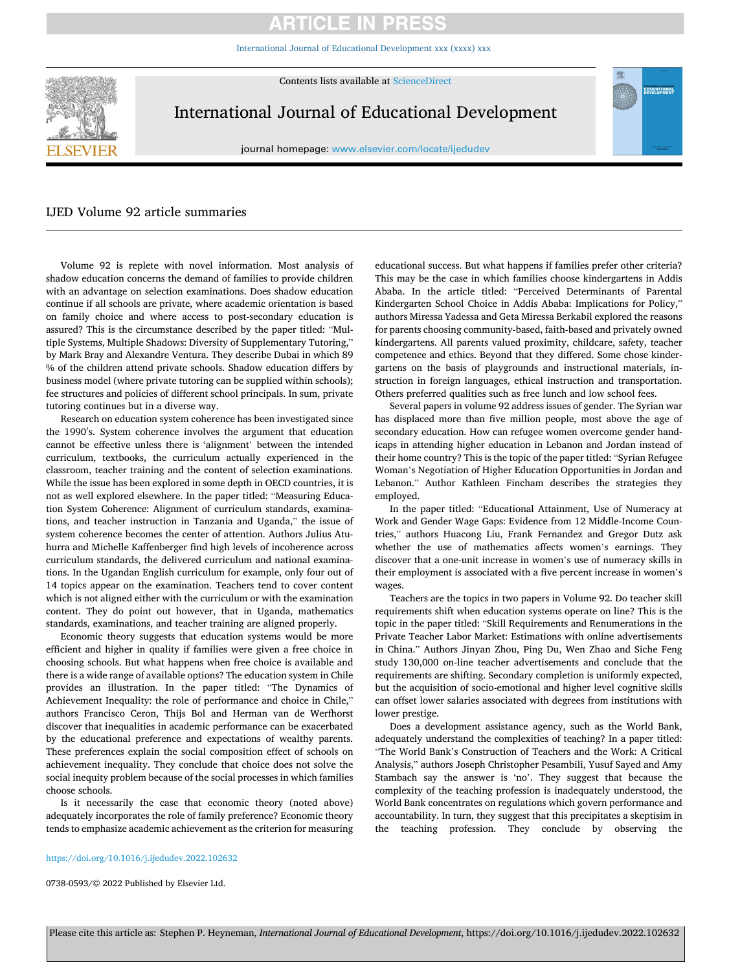# **ARTICLE IN PRESS**

[International Journal of Educational Development xxx \(xxxx\) xxx](https://doi.org/10.1016/j.ijedudev.2022.102632)



Contents lists available at [ScienceDirect](www.sciencedirect.com/science/journal/07380593)

International Journal of Educational Development

journal homepage: [www.elsevier.com/locate/ijedudev](https://www.elsevier.com/locate/ijedudev)

# IJED Volume 92 article summaries

Volume 92 is replete with novel information. Most analysis of shadow education concerns the demand of families to provide children with an advantage on selection examinations. Does shadow education continue if all schools are private, where academic orientation is based on family choice and where access to post-secondary education is assured? This is the circumstance described by the paper titled: "Multiple Systems, Multiple Shadows: Diversity of Supplementary Tutoring," by Mark Bray and Alexandre Ventura. They describe Dubai in which 89 % of the children attend private schools. Shadow education differs by business model (where private tutoring can be supplied within schools); fee structures and policies of different school principals. In sum, private tutoring continues but in a diverse way.

Research on education system coherence has been investigated since the 1990′ s. System coherence involves the argument that education cannot be effective unless there is 'alignment' between the intended curriculum, textbooks, the curriculum actually experienced in the classroom, teacher training and the content of selection examinations. While the issue has been explored in some depth in OECD countries, it is not as well explored elsewhere. In the paper titled: "Measuring Education System Coherence: Alignment of curriculum standards, examinations, and teacher instruction in Tanzania and Uganda," the issue of system coherence becomes the center of attention. Authors Julius Atuhurra and Michelle Kaffenberger find high levels of incoherence across curriculum standards, the delivered curriculum and national examinations. In the Ugandan English curriculum for example, only four out of 14 topics appear on the examination. Teachers tend to cover content which is not aligned either with the curriculum or with the examination content. They do point out however, that in Uganda, mathematics standards, examinations, and teacher training are aligned properly.

Economic theory suggests that education systems would be more efficient and higher in quality if families were given a free choice in choosing schools. But what happens when free choice is available and there is a wide range of available options? The education system in Chile provides an illustration. In the paper titled: "The Dynamics of Achievement Inequality: the role of performance and choice in Chile," authors Francisco Ceron, Thijs Bol and Herman van de Werfhorst discover that inequalities in academic performance can be exacerbated by the educational preference and expectations of wealthy parents. These preferences explain the social composition effect of schools on achievement inequality. They conclude that choice does not solve the social inequity problem because of the social processes in which families choose schools.

Is it necessarily the case that economic theory (noted above) adequately incorporates the role of family preference? Economic theory tends to emphasize academic achievement as the criterion for measuring

educational success. But what happens if families prefer other criteria? This may be the case in which families choose kindergartens in Addis Ababa. In the article titled: "Perceived Determinants of Parental Kindergarten School Choice in Addis Ababa: Implications for Policy," authors Miressa Yadessa and Geta Miressa Berkabil explored the reasons for parents choosing community-based, faith-based and privately owned kindergartens. All parents valued proximity, childcare, safety, teacher competence and ethics. Beyond that they differed. Some chose kindergartens on the basis of playgrounds and instructional materials, instruction in foreign languages, ethical instruction and transportation. Others preferred qualities such as free lunch and low school fees.

Several papers in volume 92 address issues of gender. The Syrian war has displaced more than five million people, most above the age of secondary education. How can refugee women overcome gender handicaps in attending higher education in Lebanon and Jordan instead of their home country? This is the topic of the paper titled: "Syrian Refugee Woman's Negotiation of Higher Education Opportunities in Jordan and Lebanon." Author Kathleen Fincham describes the strategies they employed.

In the paper titled: "Educational Attainment, Use of Numeracy at Work and Gender Wage Gaps: Evidence from 12 Middle-Income Countries," authors Huacong Liu, Frank Fernandez and Gregor Dutz ask whether the use of mathematics affects women's earnings. They discover that a one-unit increase in women's use of numeracy skills in their employment is associated with a five percent increase in women's wages.

Teachers are the topics in two papers in Volume 92. Do teacher skill requirements shift when education systems operate on line? This is the topic in the paper titled: "Skill Requirements and Renumerations in the Private Teacher Labor Market: Estimations with online advertisements in China." Authors Jinyan Zhou, Ping Du, Wen Zhao and Siche Feng study 130,000 on-line teacher advertisements and conclude that the requirements are shifting. Secondary completion is uniformly expected, but the acquisition of socio-emotional and higher level cognitive skills can offset lower salaries associated with degrees from institutions with lower prestige.

Does a development assistance agency, such as the World Bank, adequately understand the complexities of teaching? In a paper titled: "The World Bank's Construction of Teachers and the Work: A Critical Analysis," authors Joseph Christopher Pesambili, Yusuf Sayed and Amy Stambach say the answer is 'no'. They suggest that because the complexity of the teaching profession is inadequately understood, the World Bank concentrates on regulations which govern performance and accountability. In turn, they suggest that this precipitates a skeptisim in the teaching profession. They conclude by observing the

# <https://doi.org/10.1016/j.ijedudev.2022.102632>

0738-0593/© 2022 Published by Elsevier Ltd.